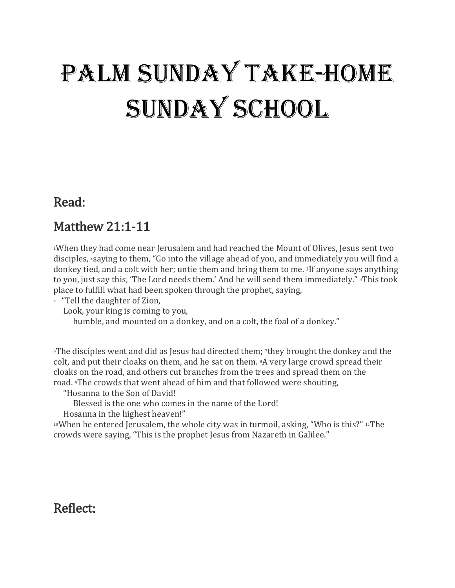# Palm Sunday Take-Home SUNDAY SCHOOL

#### Read:

## Matthew 21:1-11

1When they had come near Jerusalem and had reached the Mount of Olives, Jesus sent two disciples, 2saying to them, "Go into the village ahead of you, and immediately you will find a donkey tied, and a colt with her; untie them and bring them to me. <sup>3</sup>If anyone says anything to you, just say this, 'The Lord needs them.' And he will send them immediately." 4This took place to fulfill what had been spoken through the prophet, saying,

5 "Tell the daughter of Zion,

Look, your king is coming to you,

humble, and mounted on a donkey, and on a colt, the foal of a donkey."

6The disciples went and did as Jesus had directed them; 7they brought the donkey and the colt, and put their cloaks on them, and he sat on them. 8A very large crowd spread their cloaks on the road, and others cut branches from the trees and spread them on the road. 9The crowds that went ahead of him and that followed were shouting,

"Hosanna to the Son of David!

Blessed is the one who comes in the name of the Lord!

Hosanna in the highest heaven!"

10When he entered Jerusalem, the whole city was in turmoil, asking, "Who is this?" 11The crowds were saying, "This is the prophet Jesus from Nazareth in Galilee."

#### Reflect: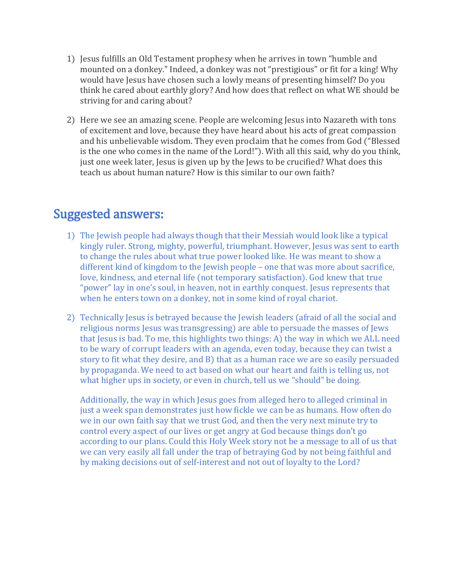- 1) Jesus fulfills an Old Testament prophesy when he arrives in town "humble and mounted on a donkey." Indeed, a donkey was not "prestigious" or fit for a king! Why would have Jesus have chosen such a lowly means of presenting himself? Do you think he cared about earthly glory? And how does that reflect on what WE should be striving for and caring about?
- 2) Here we see an amazing scene. People are welcoming Jesus into Nazareth with tons of excitement and love, because they have heard about his acts of great compassion and his unbelievable wisdom. They even proclaim that he comes from God ("Blessed is the one who comes in the name of the Lord!"). With all this said, why do you think, just one week later, Jesus is given up by the Jews to be crucified? What does this teach us about human nature? How is this similar to our own faith?

#### Suggested answers:

- 1) The Jewish people had always though that their Messiah would look like a typical kingly ruler. Strong, mighty, powerful, triumphant. However, Jesus was sent to earth to change the rules about what true power looked like. He was meant to show a different kind of kingdom to the Jewish people – one that was more about sacrifice, love, kindness, and eternal life (not temporary satisfaction). God knew that true "power" lay in one's soul, in heaven, not in earthly conquest. Jesus represents that when he enters town on a donkey, not in some kind of royal chariot.
- 2) Technically Jesus is betrayed because the Jewish leaders (afraid of all the social and religious norms Jesus was transgressing) are able to persuade the masses of Jews that Jesus is bad. To me, this highlights two things: A) the way in which we ALL need to be wary of corrupt leaders with an agenda, even today, because they can twist a story to fit what they desire, and B) that as a human race we are so easily persuaded by propaganda. We need to act based on what our heart and faith is telling us, not what higher ups in society, or even in church, tell us we "should" be doing.

Additionally, the way in which Jesus goes from alleged hero to alleged criminal in just a week span demonstrates just how fickle we can be as humans. How often do we in our own faith say that we trust God, and then the very next minute try to control every aspect of our lives or get angry at God because things don't go according to our plans. Could this Holy Week story not be a message to all of us that we can very easily all fall under the trap of betraying God by not being faithful and by making decisions out of self-interest and not out of loyalty to the Lord?